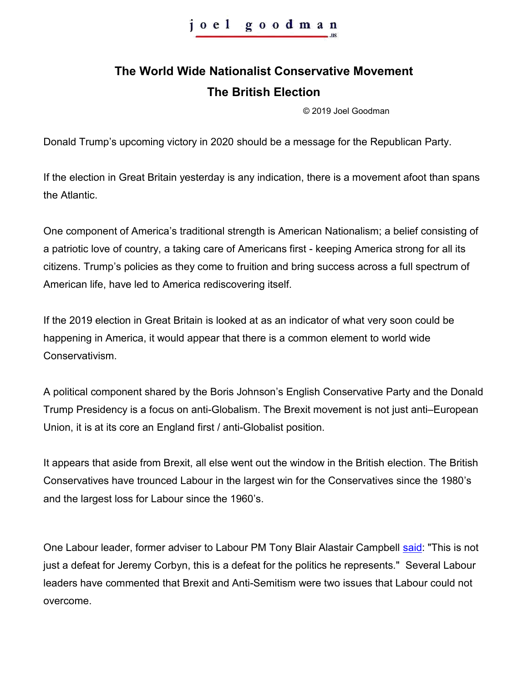## **The World Wide Nationalist Conservative Movement The British Election**

© 2019 Joel Goodman

Donald Trump's upcoming victory in 2020 should be a message for the Republican Party.

If the election in Great Britain yesterday is any indication, there is a movement afoot than spans the Atlantic.

One component of America's traditional strength is American Nationalism; a belief consisting of a patriotic love of country, a taking care of Americans first - keeping America strong for all its citizens. Trump's policies as they come to fruition and bring success across a full spectrum of American life, have led to America rediscovering itself.

If the 2019 election in Great Britain is looked at as an indicator of what very soon could be happening in America, it would appear that there is a common element to world wide Conservativism.

A political component shared by the Boris Johnson's English Conservative Party and the Donald Trump Presidency is a focus on anti-Globalism. The Brexit movement is not just anti–European Union, it is at its core an England first / anti-Globalist position.

It appears that aside from Brexit, all else went out the window in the British election. The British Conservatives have trounced Labour in the largest win for the Conservatives since the 1980's and the largest loss for Labour since the 1960's.

One Labour leader, former adviser to Labour PM Tony Blair Alastair Campbell [said:](https://www.bbc.com/news/live/election-2019-50755004) "This is not just a defeat for Jeremy Corbyn, this is a defeat for the politics he represents." Several Labour leaders have commented that Brexit and Anti-Semitism were two issues that Labour could not overcome.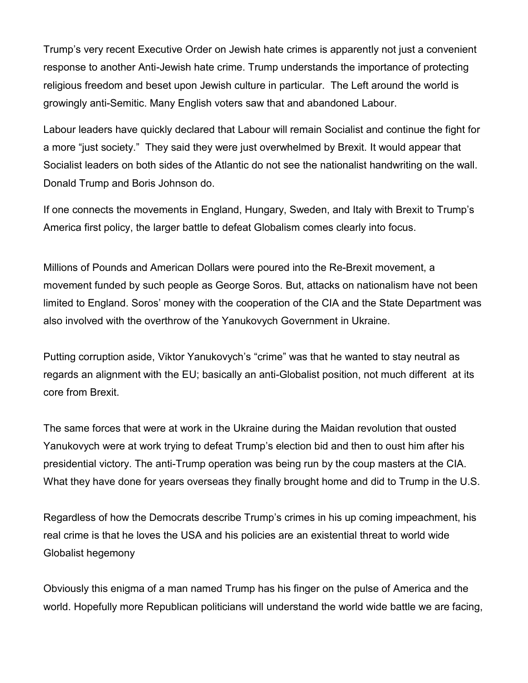Trump's very recent Executive Order on Jewish hate crimes is apparently not just a convenient response to another Anti-Jewish hate crime. Trump understands the importance of protecting religious freedom and beset upon Jewish culture in particular. The Left around the world is growingly anti-Semitic. Many English voters saw that and abandoned Labour.

Labour leaders have quickly declared that Labour will remain Socialist and continue the fight for a more "just society." They said they were just overwhelmed by Brexit. It would appear that Socialist leaders on both sides of the Atlantic do not see the nationalist handwriting on the wall. Donald Trump and Boris Johnson do.

If one connects the movements in England, Hungary, Sweden, and Italy with Brexit to Trump's America first policy, the larger battle to defeat Globalism comes clearly into focus.

Millions of Pounds and American Dollars were poured into the Re-Brexit movement, a movement funded by such people as George Soros. But, attacks on nationalism have not been limited to England. Soros' money with the cooperation of the CIA and the State Department was also involved with the overthrow of the Yanukovych Government in Ukraine.

Putting corruption aside, Viktor Yanukovych's "crime" was that he wanted to stay neutral as regards an alignment with the EU; basically an anti-Globalist position, not much different at its core from Brexit.

The same forces that were at work in the Ukraine during the Maidan revolution that ousted Yanukovych were at work trying to defeat Trump's election bid and then to oust him after his presidential victory. The anti-Trump operation was being run by the coup masters at the CIA. What they have done for years overseas they finally brought home and did to Trump in the U.S.

Regardless of how the Democrats describe Trump's crimes in his up coming impeachment, his real crime is that he loves the USA and his policies are an existential threat to world wide Globalist hegemony

Obviously this enigma of a man named Trump has his finger on the pulse of America and the world. Hopefully more Republican politicians will understand the world wide battle we are facing,